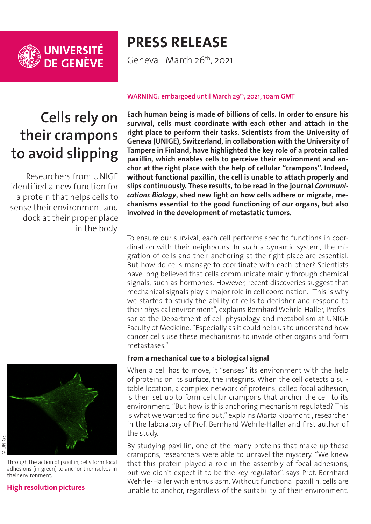

# **PRESS RELEASE**

Geneva | March 26<sup>th</sup>, 2021

## **Cells rely on their crampons to avoid slipping**

Researchers from UNIGE identified a new function for a protein that helps cells to sense their environment and dock at their proper place in the body.



Through the action of paxillin, cells form focal adhesions (in green) to anchor themselves in their environment.

#### **[High resolution pictures](https://phototheque.unige.ch/documents/facets?newFacet=mot.cle.marc%3DCdP_210329_Ripamonti&clearFacets=1)**

#### WARNING: embargoed until March 29<sup>th</sup>, 2021, 10am GMT

**Each human being is made of billions of cells. In order to ensure his survival, cells must coordinate with each other and attach in the right place to perform their tasks. Scientists from the University of Geneva (UNIGE), Switzerland, in collaboration with the University of Tampere in Finland, have highlighted the key role of a protein called paxillin, which enables cells to perceive their environment and anchor at the right place with the help of cellular "crampons". Indeed, without functional paxillin, the cell is unable to attach properly and slips continuously. These results, to be read in the journal** *Communications Biology***, shed new light on how cells adhere or migrate, mechanisms essential to the good functioning of our organs, but also involved in the development of metastatic tumors.**

To ensure our survival, each cell performs specific functions in coordination with their neighbours. In such a dynamic system, the migration of cells and their anchoring at the right place are essential. But how do cells manage to coordinate with each other? Scientists have long believed that cells communicate mainly through chemical signals, such as hormones. However, recent discoveries suggest that mechanical signals play a major role in cell coordination. "This is why we started to study the ability of cells to decipher and respond to their physical environment", explains Bernhard Wehrle-Haller, Professor at the Department of cell physiology and metabolism at UNIGE Faculty of Medicine. "Especially as it could help us to understand how cancer cells use these mechanisms to invade other organs and form metastases."

#### **From a mechanical cue to a biological signal**

When a cell has to move, it "senses" its environment with the help of proteins on its surface, the integrins. When the cell detects a suitable location, a complex network of proteins, called focal adhesion, is then set up to form cellular crampons that anchor the cell to its environment. "But how is this anchoring mechanism regulated? This is what we wanted to find out," explains Marta Ripamonti, researcher in the laboratory of Prof. Bernhard Wehrle-Haller and first author of the study.

By studying paxillin, one of the many proteins that make up these crampons, researchers were able to unravel the mystery. "We knew that this protein played a role in the assembly of focal adhesions, but we didn't expect it to be the key regulator", says Prof. Bernhard Wehrle-Haller with enthusiasm. Without functional paxillin, cells are unable to anchor, regardless of the suitability of their environment.